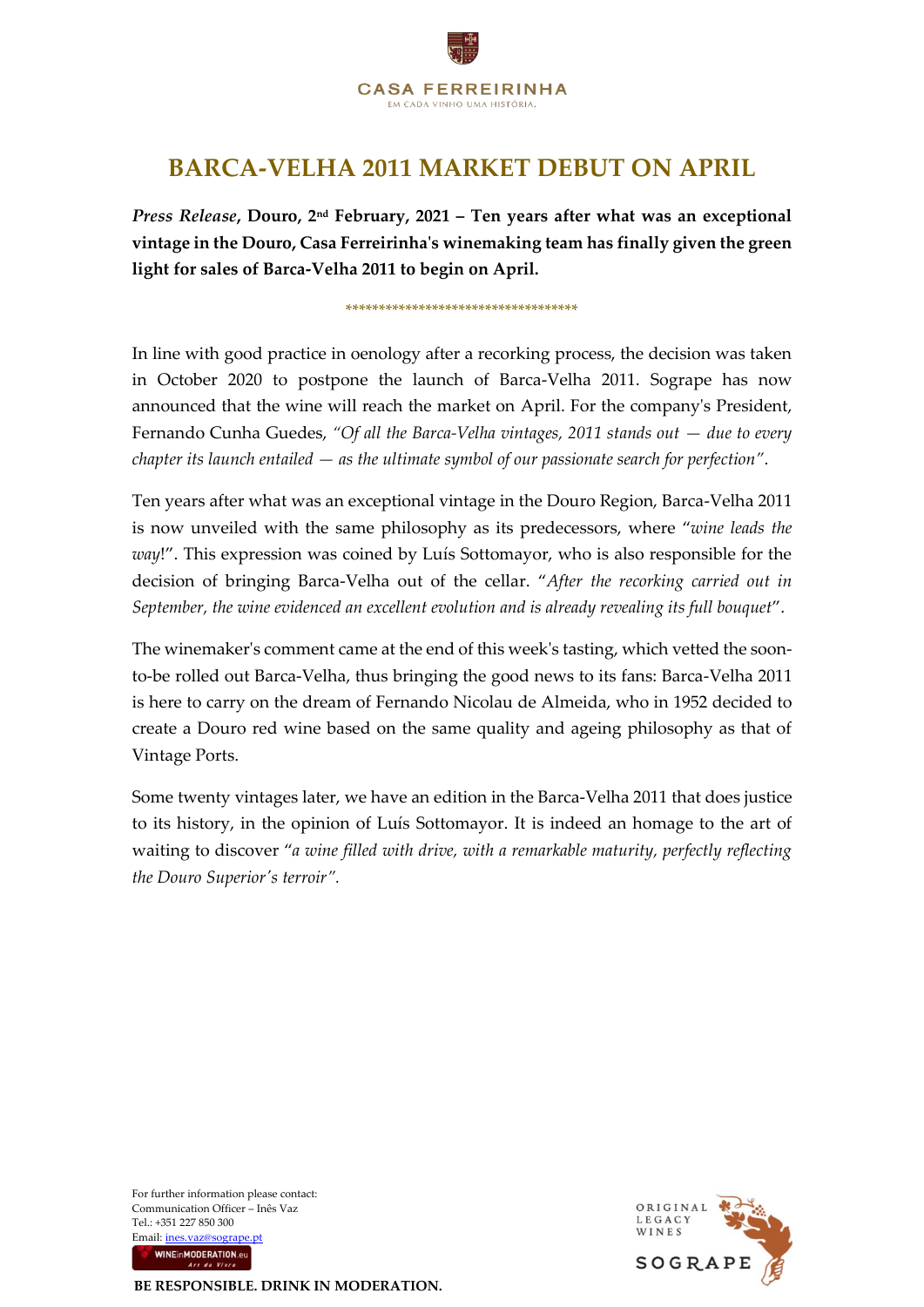

## **BARCA-VELHA 2011 MARKET DEBUT ON APRIL**

*Press Release***, Douro, 2 nd February, 2021 – Ten years after what was an exceptional vintage in the Douro, Casa Ferreirinha's winemaking team has finally given the green light for sales of Barca-Velha 2011 to begin on April.**

\*\*\*\*\*\*\*\*\*\*\*\*\*\*\*\*\*\*\*\*\*\*\*\*\*\*\*\*\*\*\*\*\*\*\*

In line with good practice in oenology after a recorking process, the decision was taken in October 2020 to postpone the launch of Barca-Velha 2011. Sogrape has now announced that the wine will reach the market on April. For the company's President, Fernando Cunha Guedes, *"Of all the Barca-Velha vintages, 2011 stands out — due to every chapter its launch entailed — as the ultimate symbol of our passionate search for perfection"*.

Ten years after what was an exceptional vintage in the Douro Region, Barca-Velha 2011 is now unveiled with the same philosophy as its predecessors, where "*wine leads the way*!". This expression was coined by Luís Sottomayor, who is also responsible for the decision of bringing Barca-Velha out of the cellar. "*After the recorking carried out in September, the wine evidenced an excellent evolution and is already revealing its full bouquet*".

The winemaker's comment came at the end of this week's tasting, which vetted the soonto-be rolled out Barca-Velha, thus bringing the good news to its fans: Barca-Velha 2011 is here to carry on the dream of Fernando Nicolau de Almeida, who in 1952 decided to create a Douro red wine based on the same quality and ageing philosophy as that of Vintage Ports.

Some twenty vintages later, we have an edition in the Barca-Velha 2011 that does justice to its history, in the opinion of Luís Sottomayor. It is indeed an homage to the art of waiting to discover "*a wine filled with drive, with a remarkable maturity, perfectly reflecting the Douro Superior's terroir".* 

For further information please contact: Communication Officer – Inês Vaz Tel.: +351 227 850 300 Email[: ines.vaz@sogrape.pt](mailto:ines.vaz@sogrape.pt) WINEINMODERATION.eu



**BE RESPONSIBLE. DRINK IN MODERATION.**